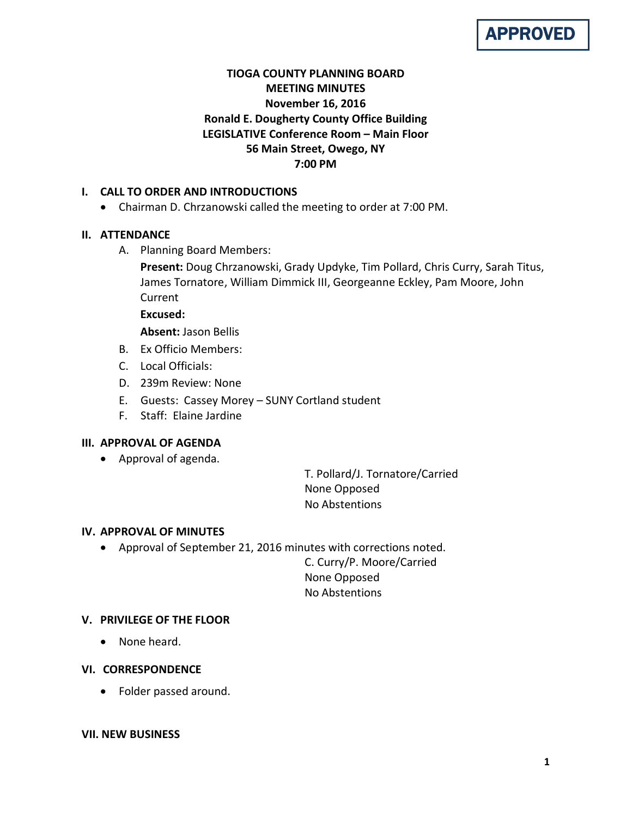# APPROVED

# **TIOGA COUNTY PLANNING BOARD MEETING MINUTES November 16, 2016 Ronald E. Dougherty County Office Building LEGISLATIVE Conference Room – Main Floor 56 Main Street, Owego, NY 7:00 PM**

# **I. CALL TO ORDER AND INTRODUCTIONS**

• Chairman D. Chrzanowski called the meeting to order at 7:00 PM.

# **II. ATTENDANCE**

A. Planning Board Members:

**Present:** Doug Chrzanowski, Grady Updyke, Tim Pollard, Chris Curry, Sarah Titus, James Tornatore, William Dimmick III, Georgeanne Eckley, Pam Moore, John **Current** 

**Excused:**

**Absent:** Jason Bellis

- B. Ex Officio Members:
- C. Local Officials:
- D. 239m Review: None
- E. Guests: Cassey Morey SUNY Cortland student
- F. Staff: Elaine Jardine

## **III. APPROVAL OF AGENDA**

• Approval of agenda.

T. Pollard/J. Tornatore/Carried None Opposed No Abstentions

## **IV. APPROVAL OF MINUTES**

• Approval of September 21, 2016 minutes with corrections noted.

C. Curry/P. Moore/Carried None Opposed No Abstentions

## **V. PRIVILEGE OF THE FLOOR**

• None heard.

# **VI. CORRESPONDENCE**

• Folder passed around.

## **VII. NEW BUSINESS**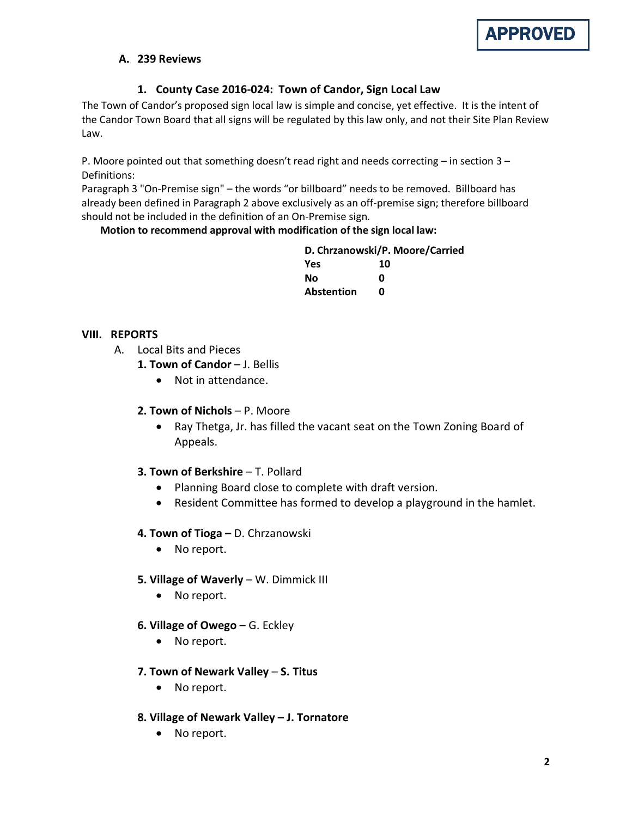

## **A. 239 Reviews**

#### **1. County Case 2016-024: Town of Candor, Sign Local Law**

The Town of Candor's proposed sign local law is simple and concise, yet effective. It is the intent of the Candor Town Board that all signs will be regulated by this law only, and not their Site Plan Review Law.

P. Moore pointed out that something doesn't read right and needs correcting – in section  $3 -$ Definitions:

Paragraph 3 "On-Premise sign" – the words "or billboard" needs to be removed. Billboard has already been defined in Paragraph 2 above exclusively as an off-premise sign; therefore billboard should not be included in the definition of an On-Premise sign.

**Motion to recommend approval with modification of the sign local law:**

| D. Chrzanowski/P. Moore/Carried |    |
|---------------------------------|----|
| Yes                             | 10 |
| Nο                              | n  |
| Abstention                      | n  |

#### **VIII. REPORTS**

- A. Local Bits and Pieces
	- **1. Town of Candor J. Bellis** 
		- Not in attendance.

#### **2. Town of Nichols** – P. Moore

• Ray Thetga, Jr. has filled the vacant seat on the Town Zoning Board of Appeals.

#### **3. Town of Berkshire - T. Pollard**

- Planning Board close to complete with draft version.
- Resident Committee has formed to develop a playground in the hamlet.

#### **4. Town of Tioga –** D. Chrzanowski

• No report.

#### **5. Village of Waverly** – W. Dimmick III

- No report.
- **6. Village of Owego** G. Eckley
	- No report.
- **7. Town of Newark Valley S. Titus**
	- No report.
- **8. Village of Newark Valley – J. Tornatore**
	- No report.